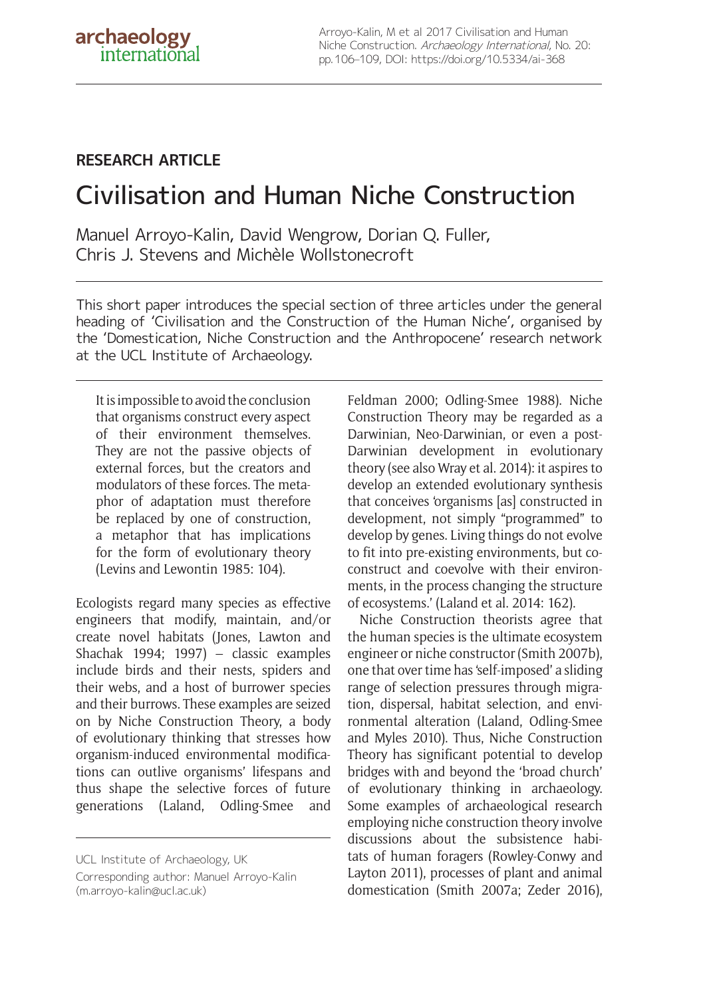Arroyo-Kalin, M et al 2017 Civilisation and Human Niche Construction. Archaeology International, No. 20: pp. 106–109, DOI:<https://doi.org/10.5334/ai-368>

## **RESEARCH ARTICLE**

## Civilisation and Human Niche Construction

Manuel Arroyo-Kalin, David Wengrow, Dorian Q. Fuller, Chris J. Stevens and Michèle Wollstonecroft

This short paper introduces the special section of three articles under the general heading of 'Civilisation and the Construction of the Human Niche', organised by the 'Domestication, Niche Construction and the Anthropocene' research network at the UCL Institute of Archaeology.

It is impossible to avoid the conclusion that organisms construct every aspect of their environment themselves. They are not the passive objects of external forces, but the creators and modulators of these forces. The metaphor of adaptation must therefore be replaced by one of construction, a metaphor that has implications for the form of evolutionary theory (Levins and Lewontin 1985: 104).

Ecologists regard many species as effective engineers that modify, maintain, and/or create novel habitats (Jones, Lawton and Shachak 1994; 1997) – classic examples include birds and their nests, spiders and their webs, and a host of burrower species and their burrows. These examples are seized on by Niche Construction Theory, a body of evolutionary thinking that stresses how organism-induced environmental modifications can outlive organisms' lifespans and thus shape the selective forces of future generations (Laland, Odling-Smee and

UCL Institute of Archaeology, UK

Feldman 2000; Odling-Smee 1988). Niche Construction Theory may be regarded as a Darwinian, Neo-Darwinian, or even a post-Darwinian development in evolutionary theory (see also Wray et al. 2014): it aspires to develop an extended evolutionary synthesis that conceives 'organisms [as] constructed in development, not simply "programmed" to develop by genes. Living things do not evolve to fit into pre-existing environments, but coconstruct and coevolve with their environments, in the process changing the structure of ecosystems.' (Laland et al. 2014: 162).

Niche Construction theorists agree that the human species is the ultimate ecosystem engineer or niche constructor (Smith 2007b), one that over time has 'self-imposed' a sliding range of selection pressures through migration, dispersal, habitat selection, and environmental alteration (Laland, Odling-Smee and Myles 2010). Thus, Niche Construction Theory has significant potential to develop bridges with and beyond the 'broad church' of evolutionary thinking in archaeology. Some examples of archaeological research employing niche construction theory involve discussions about the subsistence habitats of human foragers (Rowley-Conwy and Layton 2011), processes of plant and animal domestication (Smith 2007a; Zeder 2016),

Corresponding author: Manuel Arroyo-Kalin [\(m.arroyo-kalin@ucl.ac.uk\)](mailto:m.arroyo-kalin@ucl.ac.uk)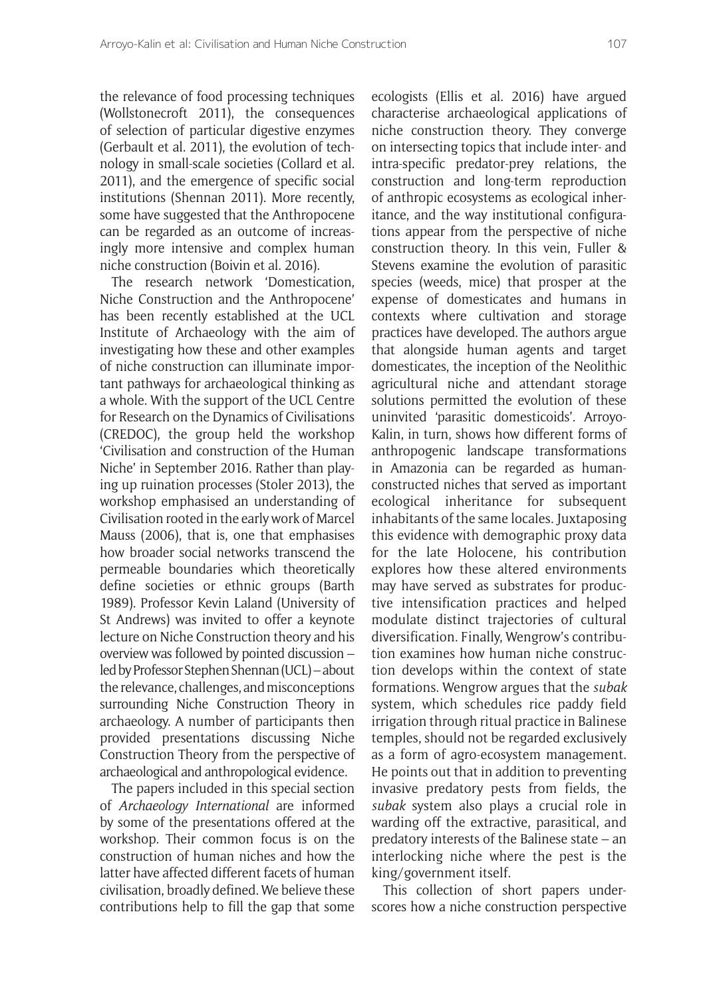the relevance of food processing techniques (Wollstonecroft 2011), the consequences of selection of particular digestive enzymes (Gerbault et al. 2011), the evolution of technology in small-scale societies (Collard et al. 2011), and the emergence of specific social institutions (Shennan 2011). More recently, some have suggested that the Anthropocene can be regarded as an outcome of increasingly more intensive and complex human niche construction (Boivin et al. 2016).

The research network 'Domestication, Niche Construction and the Anthropocene' has been recently established at the UCL Institute of Archaeology with the aim of investigating how these and other examples of niche construction can illuminate important pathways for archaeological thinking as a whole. With the support of the UCL Centre for Research on the Dynamics of Civilisations (CREDOC), the group held the workshop 'Civilisation and construction of the Human Niche' in September 2016. Rather than playing up ruination processes (Stoler 2013), the workshop emphasised an understanding of Civilisation rooted in the early work of Marcel Mauss (2006), that is, one that emphasises how broader social networks transcend the permeable boundaries which theoretically define societies or ethnic groups (Barth 1989). Professor Kevin Laland (University of St Andrews) was invited to offer a keynote lecture on Niche Construction theory and his overview was followed by pointed discussion – led by Professor Stephen Shennan (UCL) – about the relevance, challenges, and misconceptions surrounding Niche Construction Theory in archaeology. A number of participants then provided presentations discussing Niche Construction Theory from the perspective of archaeological and anthropological evidence.

The papers included in this special section of *Archaeology International* are informed by some of the presentations offered at the workshop. Their common focus is on the construction of human niches and how the latter have affected different facets of human civilisation, broadly defined. We believe these contributions help to fill the gap that some

ecologists (Ellis et al. 2016) have argued characterise archaeological applications of niche construction theory. They converge on intersecting topics that include inter- and intra-specific predator-prey relations, the construction and long-term reproduction of anthropic ecosystems as ecological inheritance, and the way institutional configurations appear from the perspective of niche construction theory. In this vein, Fuller & Stevens examine the evolution of parasitic species (weeds, mice) that prosper at the expense of domesticates and humans in contexts where cultivation and storage practices have developed. The authors argue that alongside human agents and target domesticates, the inception of the Neolithic agricultural niche and attendant storage solutions permitted the evolution of these uninvited 'parasitic domesticoids'. Arroyo-Kalin, in turn, shows how different forms of anthropogenic landscape transformations in Amazonia can be regarded as humanconstructed niches that served as important ecological inheritance for subsequent inhabitants of the same locales. Juxtaposing this evidence with demographic proxy data for the late Holocene, his contribution explores how these altered environments may have served as substrates for productive intensification practices and helped modulate distinct trajectories of cultural diversification. Finally, Wengrow's contribution examines how human niche construction develops within the context of state formations. Wengrow argues that the *subak*  system, which schedules rice paddy field irrigation through ritual practice in Balinese temples, should not be regarded exclusively as a form of agro-ecosystem management. He points out that in addition to preventing invasive predatory pests from fields, the *subak* system also plays a crucial role in warding off the extractive, parasitical, and predatory interests of the Balinese state – an interlocking niche where the pest is the king/government itself.

This collection of short papers underscores how a niche construction perspective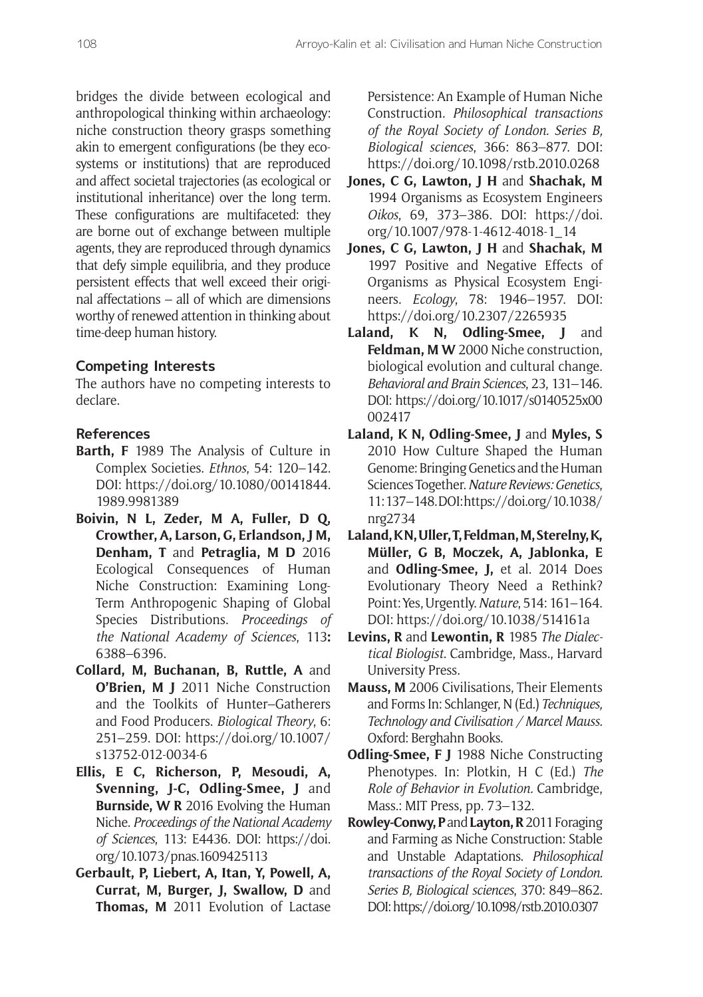bridges the divide between ecological and anthropological thinking within archaeology: niche construction theory grasps something akin to emergent configurations (be they ecosystems or institutions) that are reproduced and affect societal trajectories (as ecological or institutional inheritance) over the long term. These configurations are multifaceted: they are borne out of exchange between multiple agents, they are reproduced through dynamics that defy simple equilibria, and they produce persistent effects that well exceed their original affectations – all of which are dimensions worthy of renewed attention in thinking about time-deep human history.

## **Competing Interests**

The authors have no competing interests to declare.

## **References**

- **Barth, F** 1989 The Analysis of Culture in Complex Societies. *Ethnos*, 54: 120–142. DOI: [https://doi.org/10.1080/00141844.](https://doi.org/10.1080/00141844.1989.9981389) [1989.9981389](https://doi.org/10.1080/00141844.1989.9981389)
- **Boivin, N L, Zeder, M A, Fuller, D Q, Crowther, A, Larson, G, Erlandson, J M, Denham, T** and **Petraglia, M D** 2016 Ecological Consequences of Human Niche Construction: Examining Long-Term Anthropogenic Shaping of Global Species Distributions. *Proceedings of the National Academy of Sciences*, 113**:** 6388–6396.
- **Collard, M, Buchanan, B, Ruttle, A** and **O'Brien, M J** 2011 Niche Construction and the Toolkits of Hunter–Gatherers and Food Producers. *Biological Theory*, 6: 251–259. DOI: [https://doi.org/10.1007/](https://doi.org/10.1007/s13752-012-0034-6) [s13752-012-0034-6](https://doi.org/10.1007/s13752-012-0034-6)
- **Ellis, E C, Richerson, P, Mesoudi, A, Svenning, J-C, Odling-Smee, J** and **Burnside, W R** 2016 Evolving the Human Niche. *Proceedings of the National Academy of Sciences*, 113: E4436. DOI: [https://doi.](https://doi.org/10.1073/pnas.1609425113) [org/10.1073/pnas.1609425113](https://doi.org/10.1073/pnas.1609425113)
- **Gerbault, P, Liebert, A, Itan, Y, Powell, A, Currat, M, Burger, J, Swallow, D** and **Thomas, M** 2011 Evolution of Lactase

Persistence: An Example of Human Niche Construction. *Philosophical transactions of the Royal Society of London. Series B, Biological sciences*, 366: 863–877. DOI: <https://doi.org/10.1098/rstb.2010.0268>

- **Jones, C G, Lawton, J H** and **Shachak, M**  1994 Organisms as Ecosystem Engineers *Oikos*, 69, 373–386. DOI: [https://doi.](https://doi.org/10.1007/978-1-4612-4018-1_14) [org/10.1007/978-1-4612-4018-1\\_14](https://doi.org/10.1007/978-1-4612-4018-1_14)
- **Jones, C G, Lawton, J H** and **Shachak, M**  1997 Positive and Negative Effects of Organisms as Physical Ecosystem Engineers. *Ecology*, 78: 1946–1957. DOI: <https://doi.org/10.2307/2265935>
- Laland, K N, Odling-Smee, J and **Feldman, M W** 2000 Niche construction, biological evolution and cultural change. *Behavioral and Brain Sciences*, 23, 131–146. DOI: [https://doi.org/10.1017/s0140525x00](https://doi.org/10.1017/s0140525x00002417) [002417](https://doi.org/10.1017/s0140525x00002417)
- Laland, K N, Odling-Smee, J and Myles, S 2010 How Culture Shaped the Human Genome: Bringing Genetics and the Human Sciences Together. *Nature Reviews: Genetics*, 11: 137–148. DOI: [https://doi.org/10.1038/](https://doi.org/10.1038/nrg2734) [nrg2734](https://doi.org/10.1038/nrg2734)
- **Laland, K N, Uller, T, Feldman, M, Sterelny, K, Müller, G B, Moczek, A, Jablonka, E**  and **Odling-Smee, J,** et al. 2014 Does Evolutionary Theory Need a Rethink? Point: Yes, Urgently. *Nature*, 514: 161–164. DOI: <https://doi.org/10.1038/514161a>
- **Levins, R** and **Lewontin, R** 1985 *The Dialectical Biologist*. Cambridge, Mass., Harvard University Press.
- **Mauss, M** 2006 Civilisations, Their Elements and Forms In: Schlanger, N (Ed.) *Techniques, Technology and Civilisation / Marcel Mauss.* Oxford: Berghahn Books.
- **Odling-Smee, F J** 1988 Niche Constructing Phenotypes. In: Plotkin, H C (Ed.) *The Role of Behavior in Evolution.* Cambridge, Mass.: MIT Press, pp. 73–132.
- **Rowley-Conwy, P** and **Layton, R** 2011 Foraging and Farming as Niche Construction: Stable and Unstable Adaptations. *Philosophical transactions of the Royal Society of London. Series B, Biological sciences*, 370: 849–862. DOI:<https://doi.org/10.1098/rstb.2010.0307>